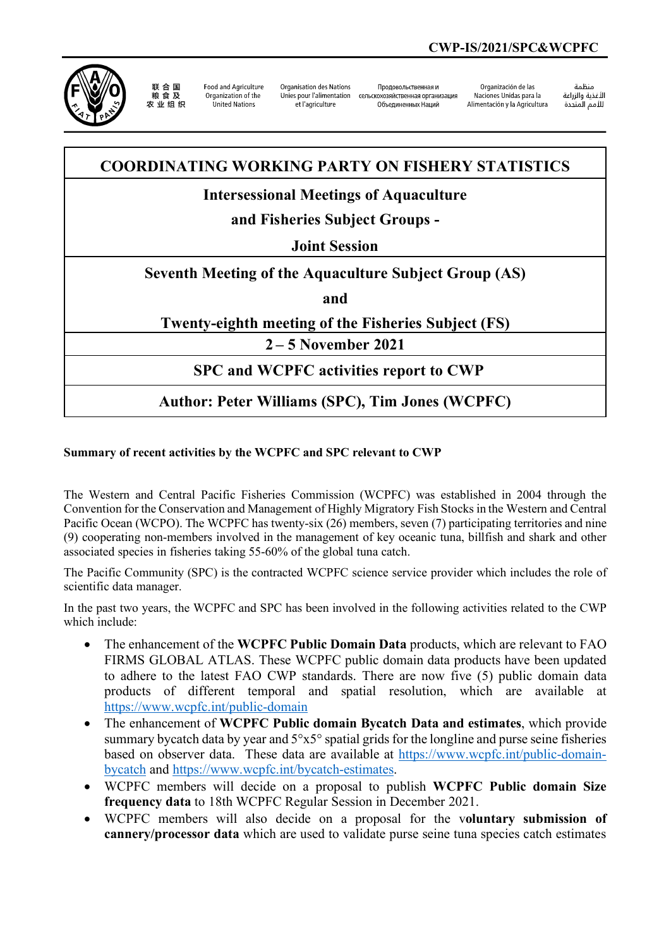

联合国 农业组织

**Food and Agriculture** Organization of the United Nations

Organisation des Nations Unies pour l'alimentation et l'agriculture

Продовольственная и сельскохозяйственная организация Объединенных Наций

Organización de las Naciones Unidas para la Alimentación y la Agricultura

änhin الأغذية والزراعة التعدية والزراعة<br>للأمم المتحدة

# **COORDINATING WORKING PARTY ON FISHERY STATISTICS**

## **Intersessional Meetings of Aquaculture**

# **and Fisheries Subject Groups -**

#### **Joint Session**

### **Seventh Meeting of the Aquaculture Subject Group (AS)**

**and**

#### **Twenty-eighth meeting of the Fisheries Subject (FS)**

**2 – 5 November 2021**

### **SPC and WCPFC activities report to CWP**

### **Author: Peter Williams (SPC), Tim Jones (WCPFC)**

#### **Summary of recent activities by the WCPFC and SPC relevant to CWP**

The Western and Central Pacific Fisheries Commission (WCPFC) was established in 2004 through the Convention for the Conservation and Management of Highly Migratory Fish Stocks in the Western and Central Pacific Ocean (WCPO). The WCPFC has twenty-six (26) members, seven (7) participating territories and nine (9) cooperating non-members involved in the management of key oceanic tuna, billfish and shark and other associated species in fisheries taking 55-60% of the global tuna catch.

The Pacific Community (SPC) is the contracted WCPFC science service provider which includes the role of scientific data manager.

In the past two years, the WCPFC and SPC has been involved in the following activities related to the CWP which include:

- The enhancement of the **WCPFC Public Domain Data** products, which are relevant to FAO FIRMS GLOBAL ATLAS. These WCPFC public domain data products have been updated to adhere to the latest FAO CWP standards. There are now five (5) public domain data products of different temporal and spatial resolution, which are available at <https://www.wcpfc.int/public-domain>
- The enhancement of **WCPFC Public domain Bycatch Data and estimates**, which provide summary bycatch data by year and  $5^{\circ}x5^{\circ}$  spatial grids for the longline and purse seine fisheries based on observer data. These data are available at [https://www.wcpfc.int/public-domain](https://www.wcpfc.int/public-domain-bycatch)[bycatch](https://www.wcpfc.int/public-domain-bycatch) and [https://www.wcpfc.int/bycatch-estimates.](https://www.wcpfc.int/bycatch-estimates)
- WCPFC members will decide on a proposal to publish **WCPFC Public domain Size frequency data** to 18th WCPFC Regular Session in December 2021.
- WCPFC members will also decide on a proposal for the v**oluntary submission of cannery/processor data** which are used to validate purse seine tuna species catch estimates